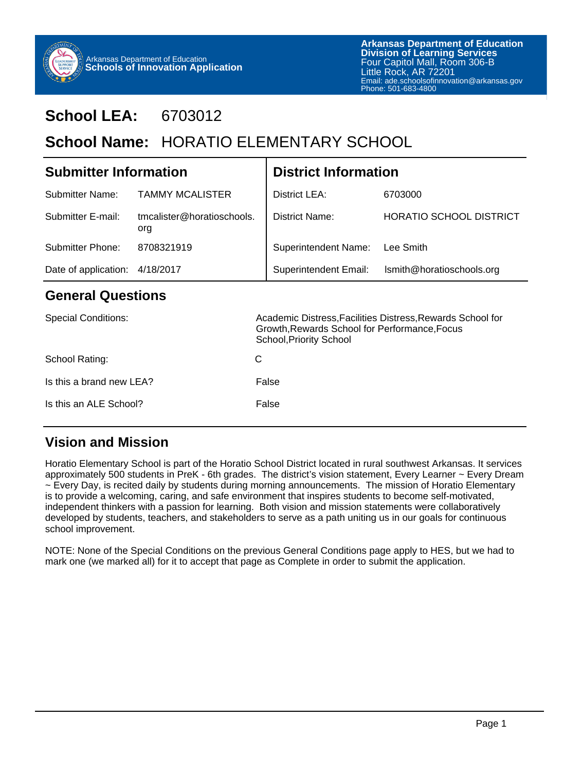

# **School LEA:** 6703012

# School Name: HORATIO ELEMENTARY SCHOOL

| <b>Submitter Information</b>   |                                   | <b>District Information</b> |                                                 |  |
|--------------------------------|-----------------------------------|-----------------------------|-------------------------------------------------|--|
| Submitter Name:                | <b>TAMMY MCALISTER</b>            | District LEA:               | 6703000                                         |  |
| Submitter E-mail:              | tmcalister@horatioschools.<br>org | District Name:              | <b>HORATIO SCHOOL DISTRICT</b>                  |  |
| Submitter Phone:               | 8708321919                        | <b>Superintendent Name:</b> | Lee Smith                                       |  |
| Date of application: 4/18/2017 |                                   |                             | Superintendent Email: Ismith@horatioschools.org |  |

#### **General Questions**

| <b>Special Conditions:</b> | Academic Distress, Facilities Distress, Rewards School for<br>Growth, Rewards School for Performance, Focus<br>School, Priority School |
|----------------------------|----------------------------------------------------------------------------------------------------------------------------------------|
| School Rating:             | C                                                                                                                                      |
| Is this a brand new LEA?   | False                                                                                                                                  |
| Is this an ALE School?     | False                                                                                                                                  |

#### **Vision and Mission**

Horatio Elementary School is part of the Horatio School District located in rural southwest Arkansas. It services approximately 500 students in PreK - 6th grades. The district's vision statement, Every Learner ~ Every Dream ~ Every Day, is recited daily by students during morning announcements. The mission of Horatio Elementary is to provide a welcoming, caring, and safe environment that inspires students to become self-motivated, independent thinkers with a passion for learning. Both vision and mission statements were collaboratively developed by students, teachers, and stakeholders to serve as a path uniting us in our goals for continuous school improvement.

NOTE: None of the Special Conditions on the previous General Conditions page apply to HES, but we had to mark one (we marked all) for it to accept that page as Complete in order to submit the application.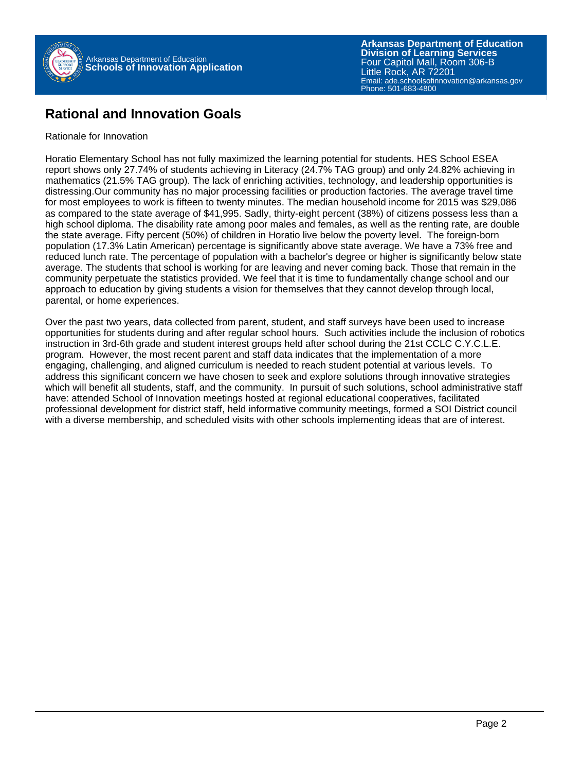

### **Rational and Innovation Goals**

#### Rationale for Innovation

Horatio Elementary School has not fully maximized the learning potential for students. HES School ESEA report shows only 27.74% of students achieving in Literacy (24.7% TAG group) and only 24.82% achieving in mathematics (21.5% TAG group). The lack of enriching activities, technology, and leadership opportunities is distressing.Our community has no major processing facilities or production factories. The average travel time for most employees to work is fifteen to twenty minutes. The median household income for 2015 was \$29,086 as compared to the state average of \$41,995. Sadly, thirty-eight percent (38%) of citizens possess less than a high school diploma. The disability rate among poor males and females, as well as the renting rate, are double the state average. Fifty percent (50%) of children in Horatio live below the poverty level. The foreign-born population (17.3% Latin American) percentage is significantly above state average. We have a 73% free and reduced lunch rate. The percentage of population with a bachelor's degree or higher is significantly below state average. The students that school is working for are leaving and never coming back. Those that remain in the community perpetuate the statistics provided. We feel that it is time to fundamentally change school and our approach to education by giving students a vision for themselves that they cannot develop through local, parental, or home experiences.

Over the past two years, data collected from parent, student, and staff surveys have been used to increase opportunities for students during and after regular school hours. Such activities include the inclusion of robotics instruction in 3rd-6th grade and student interest groups held after school during the 21st CCLC C.Y.C.L.E. program. However, the most recent parent and staff data indicates that the implementation of a more engaging, challenging, and aligned curriculum is needed to reach student potential at various levels. To address this significant concern we have chosen to seek and explore solutions through innovative strategies which will benefit all students, staff, and the community. In pursuit of such solutions, school administrative staff have: attended School of Innovation meetings hosted at regional educational cooperatives, facilitated professional development for district staff, held informative community meetings, formed a SOI District council with a diverse membership, and scheduled visits with other schools implementing ideas that are of interest.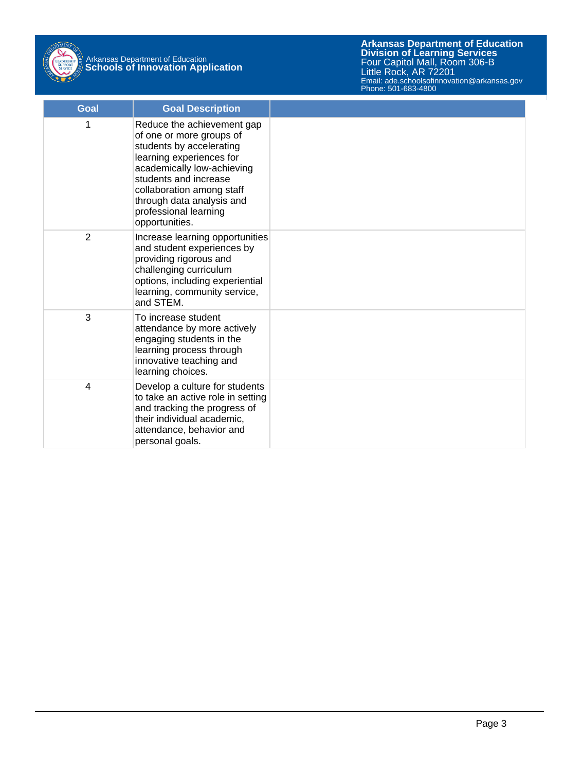

| <b>Goal</b> | <b>Goal Description</b>                                                                                                                                                                                                                                                    |  |
|-------------|----------------------------------------------------------------------------------------------------------------------------------------------------------------------------------------------------------------------------------------------------------------------------|--|
| 1           | Reduce the achievement gap<br>of one or more groups of<br>students by accelerating<br>learning experiences for<br>academically low-achieving<br>students and increase<br>collaboration among staff<br>through data analysis and<br>professional learning<br>opportunities. |  |
| 2           | Increase learning opportunities<br>and student experiences by<br>providing rigorous and<br>challenging curriculum<br>options, including experiential<br>learning, community service,<br>and STEM.                                                                          |  |
| 3           | To increase student<br>attendance by more actively<br>engaging students in the<br>learning process through<br>innovative teaching and<br>learning choices.                                                                                                                 |  |
| 4           | Develop a culture for students<br>to take an active role in setting<br>and tracking the progress of<br>their individual academic,<br>attendance, behavior and<br>personal goals.                                                                                           |  |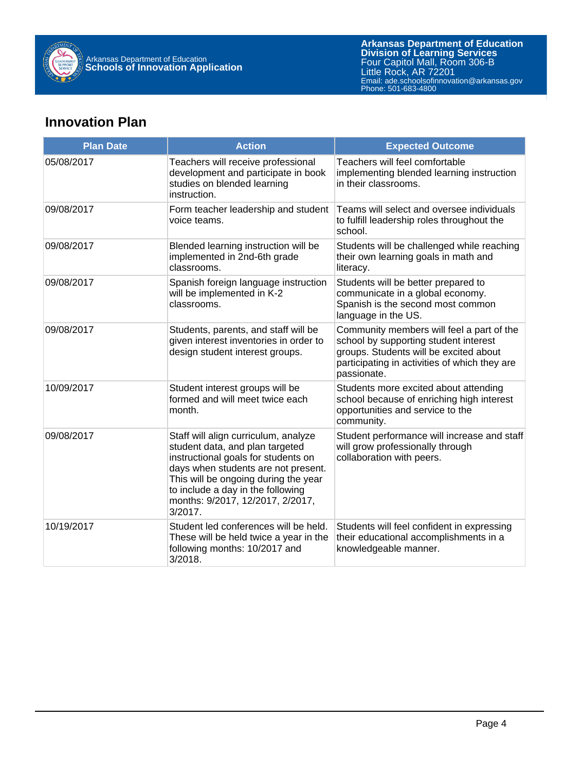

## **Innovation Plan**

| <b>Plan Date</b> | <b>Action</b>                                                                                                                                                                                                                                                                     | <b>Expected Outcome</b>                                                                                                                                                                      |  |  |
|------------------|-----------------------------------------------------------------------------------------------------------------------------------------------------------------------------------------------------------------------------------------------------------------------------------|----------------------------------------------------------------------------------------------------------------------------------------------------------------------------------------------|--|--|
| 05/08/2017       | Teachers will receive professional<br>development and participate in book<br>studies on blended learning<br>instruction.                                                                                                                                                          | Teachers will feel comfortable<br>implementing blended learning instruction<br>in their classrooms.                                                                                          |  |  |
| 09/08/2017       | Form teacher leadership and student<br>voice teams.                                                                                                                                                                                                                               | Teams will select and oversee individuals<br>to fulfill leadership roles throughout the<br>school.                                                                                           |  |  |
| 09/08/2017       | Blended learning instruction will be<br>implemented in 2nd-6th grade<br>classrooms.                                                                                                                                                                                               | Students will be challenged while reaching<br>their own learning goals in math and<br>literacy.                                                                                              |  |  |
| 09/08/2017       | Spanish foreign language instruction<br>will be implemented in K-2<br>classrooms.                                                                                                                                                                                                 | Students will be better prepared to<br>communicate in a global economy.<br>Spanish is the second most common<br>language in the US.                                                          |  |  |
| 09/08/2017       | Students, parents, and staff will be<br>given interest inventories in order to<br>design student interest groups.                                                                                                                                                                 | Community members will feel a part of the<br>school by supporting student interest<br>groups. Students will be excited about<br>participating in activities of which they are<br>passionate. |  |  |
| 10/09/2017       | Student interest groups will be<br>formed and will meet twice each<br>month.                                                                                                                                                                                                      | Students more excited about attending<br>school because of enriching high interest<br>opportunities and service to the<br>community.                                                         |  |  |
| 09/08/2017       | Staff will align curriculum, analyze<br>student data, and plan targeted<br>instructional goals for students on<br>days when students are not present.<br>This will be ongoing during the year<br>to include a day in the following<br>months: 9/2017, 12/2017, 2/2017,<br>3/2017. | Student performance will increase and staff<br>will grow professionally through<br>collaboration with peers.                                                                                 |  |  |
| 10/19/2017       | Student led conferences will be held.<br>These will be held twice a year in the<br>following months: 10/2017 and<br>3/2018.                                                                                                                                                       | Students will feel confident in expressing<br>their educational accomplishments in a<br>knowledgeable manner.                                                                                |  |  |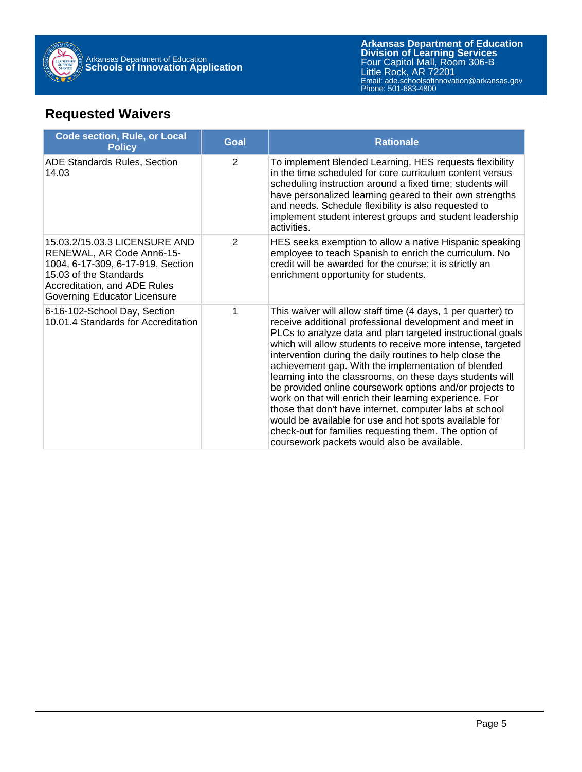

## **Requested Waivers**

| <b>Code section, Rule, or Local</b><br><b>Policy</b>                                                                                                                                      | <b>Goal</b> | <b>Rationale</b>                                                                                                                                                                                                                                                                                                                                                                                                                                                                                                                                                                                                                                                                                                                                                                         |
|-------------------------------------------------------------------------------------------------------------------------------------------------------------------------------------------|-------------|------------------------------------------------------------------------------------------------------------------------------------------------------------------------------------------------------------------------------------------------------------------------------------------------------------------------------------------------------------------------------------------------------------------------------------------------------------------------------------------------------------------------------------------------------------------------------------------------------------------------------------------------------------------------------------------------------------------------------------------------------------------------------------------|
| <b>ADE Standards Rules, Section</b><br>14.03                                                                                                                                              | 2           | To implement Blended Learning, HES requests flexibility<br>in the time scheduled for core curriculum content versus<br>scheduling instruction around a fixed time; students will<br>have personalized learning geared to their own strengths<br>and needs. Schedule flexibility is also requested to<br>implement student interest groups and student leadership<br>activities.                                                                                                                                                                                                                                                                                                                                                                                                          |
| 15.03.2/15.03.3 LICENSURE AND<br>RENEWAL, AR Code Ann6-15-<br>1004, 6-17-309, 6-17-919, Section<br>15.03 of the Standards<br>Accreditation, and ADE Rules<br>Governing Educator Licensure | 2           | HES seeks exemption to allow a native Hispanic speaking<br>employee to teach Spanish to enrich the curriculum. No<br>credit will be awarded for the course; it is strictly an<br>enrichment opportunity for students.                                                                                                                                                                                                                                                                                                                                                                                                                                                                                                                                                                    |
| 6-16-102-School Day, Section<br>1<br>10.01.4 Standards for Accreditation                                                                                                                  |             | This waiver will allow staff time (4 days, 1 per quarter) to<br>receive additional professional development and meet in<br>PLCs to analyze data and plan targeted instructional goals<br>which will allow students to receive more intense, targeted<br>intervention during the daily routines to help close the<br>achievement gap. With the implementation of blended<br>learning into the classrooms, on these days students will<br>be provided online coursework options and/or projects to<br>work on that will enrich their learning experience. For<br>those that don't have internet, computer labs at school<br>would be available for use and hot spots available for<br>check-out for families requesting them. The option of<br>coursework packets would also be available. |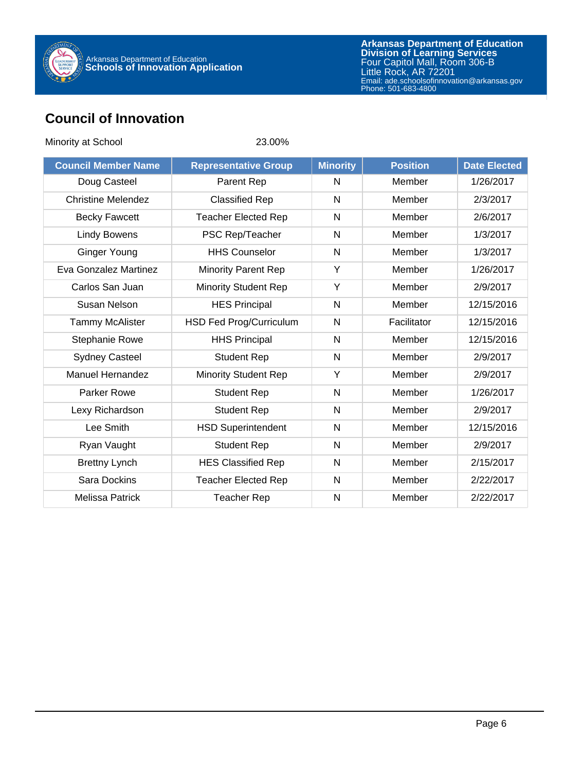

### **Council of Innovation**

| Minority at School         | 23.00%                      |                 |                 |                     |
|----------------------------|-----------------------------|-----------------|-----------------|---------------------|
| <b>Council Member Name</b> | <b>Representative Group</b> | <b>Minority</b> | <b>Position</b> | <b>Date Elected</b> |
| Doug Casteel               | Parent Rep                  | N               | Member          | 1/26/2017           |
| <b>Christine Melendez</b>  | <b>Classified Rep</b>       | N               | Member          | 2/3/2017            |
| <b>Becky Fawcett</b>       | <b>Teacher Elected Rep</b>  | $\mathsf{N}$    | Member          | 2/6/2017            |
| <b>Lindy Bowens</b>        | PSC Rep/Teacher             | $\mathsf{N}$    | Member          | 1/3/2017            |
| <b>Ginger Young</b>        | <b>HHS Counselor</b>        | $\mathsf{N}$    | Member          | 1/3/2017            |
| Eva Gonzalez Martinez      | <b>Minority Parent Rep</b>  | Y               | Member          | 1/26/2017           |
| Carlos San Juan            | <b>Minority Student Rep</b> | Y               | Member          | 2/9/2017            |
| Susan Nelson               | <b>HES Principal</b>        | N               | Member          | 12/15/2016          |
| <b>Tammy McAlister</b>     | HSD Fed Prog/Curriculum     | N               | Facilitator     | 12/15/2016          |
| Stephanie Rowe             | <b>HHS Principal</b>        | N               | Member          | 12/15/2016          |
| <b>Sydney Casteel</b>      | <b>Student Rep</b>          | $\mathsf{N}$    | Member          | 2/9/2017            |
| <b>Manuel Hernandez</b>    | <b>Minority Student Rep</b> | Y               | Member          | 2/9/2017            |
| <b>Parker Rowe</b>         | <b>Student Rep</b>          | N               | Member          | 1/26/2017           |
| Lexy Richardson            | <b>Student Rep</b>          | $\mathsf{N}$    | Member          | 2/9/2017            |
| Lee Smith                  | <b>HSD Superintendent</b>   | $\mathsf{N}$    | Member          | 12/15/2016          |
| Ryan Vaught                | <b>Student Rep</b>          | N               | Member          | 2/9/2017            |
| <b>Brettny Lynch</b>       | <b>HES Classified Rep</b>   | N               | Member          | 2/15/2017           |
| Sara Dockins               | <b>Teacher Elected Rep</b>  | $\mathsf{N}$    | Member          | 2/22/2017           |
| <b>Melissa Patrick</b>     | <b>Teacher Rep</b>          | N               | Member          | 2/22/2017           |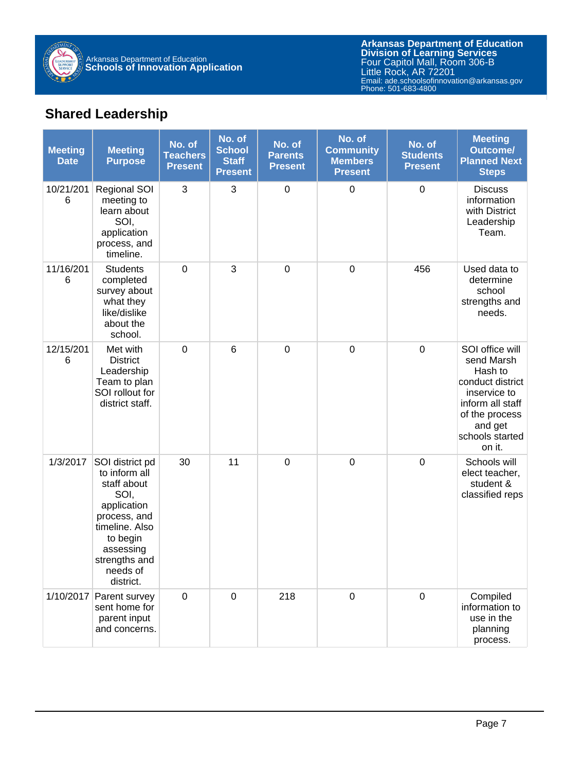

## **Shared Leadership**

| <b>Meeting</b><br><b>Date</b> | <b>Meeting</b><br><b>Purpose</b>                                                                                                                                            | No. of<br><b>Teachers</b><br><b>Present</b> | No. of<br><b>School</b><br><b>Staff</b><br><b>Present</b> | No. of<br><b>Parents</b><br><b>Present</b> | No. of<br><b>Community</b><br><b>Members</b><br><b>Present</b> | No. of<br><b>Students</b><br><b>Present</b> | <b>Meeting</b><br><b>Outcome/</b><br><b>Planned Next</b><br><b>Steps</b>                                                                                   |
|-------------------------------|-----------------------------------------------------------------------------------------------------------------------------------------------------------------------------|---------------------------------------------|-----------------------------------------------------------|--------------------------------------------|----------------------------------------------------------------|---------------------------------------------|------------------------------------------------------------------------------------------------------------------------------------------------------------|
| 10/21/201<br>6                | <b>Regional SOI</b><br>meeting to<br>learn about<br>SOI,<br>application<br>process, and<br>timeline.                                                                        | 3                                           | 3                                                         | $\boldsymbol{0}$                           | $\boldsymbol{0}$                                               | $\mathbf 0$                                 | <b>Discuss</b><br>information<br>with District<br>Leadership<br>Team.                                                                                      |
| 11/16/201<br>6                | <b>Students</b><br>completed<br>survey about<br>what they<br>like/dislike<br>about the<br>school.                                                                           | $\pmb{0}$                                   | 3                                                         | $\mathbf 0$                                | $\mathbf 0$                                                    | 456                                         | Used data to<br>determine<br>school<br>strengths and<br>needs.                                                                                             |
| 12/15/201<br>6                | Met with<br><b>District</b><br>Leadership<br>Team to plan<br>SOI rollout for<br>district staff.                                                                             | $\pmb{0}$                                   | 6                                                         | $\boldsymbol{0}$                           | $\boldsymbol{0}$                                               | $\boldsymbol{0}$                            | SOI office will<br>send Marsh<br>Hash to<br>conduct district<br>inservice to<br>inform all staff<br>of the process<br>and get<br>schools started<br>on it. |
| 1/3/2017                      | SOI district pd<br>to inform all<br>staff about<br>SOI,<br>application<br>process, and<br>timeline. Also<br>to begin<br>assessing<br>strengths and<br>needs of<br>district. | 30                                          | 11                                                        | $\mathbf 0$                                | $\mathbf 0$                                                    | $\mathbf 0$                                 | Schools will<br>elect teacher,<br>student &<br>classified reps                                                                                             |
| 1/10/2017                     | Parent survey<br>sent home for<br>parent input<br>and concerns.                                                                                                             | $\pmb{0}$                                   | $\mathbf 0$                                               | 218                                        | $\boldsymbol{0}$                                               | $\boldsymbol{0}$                            | Compiled<br>information to<br>use in the<br>planning<br>process.                                                                                           |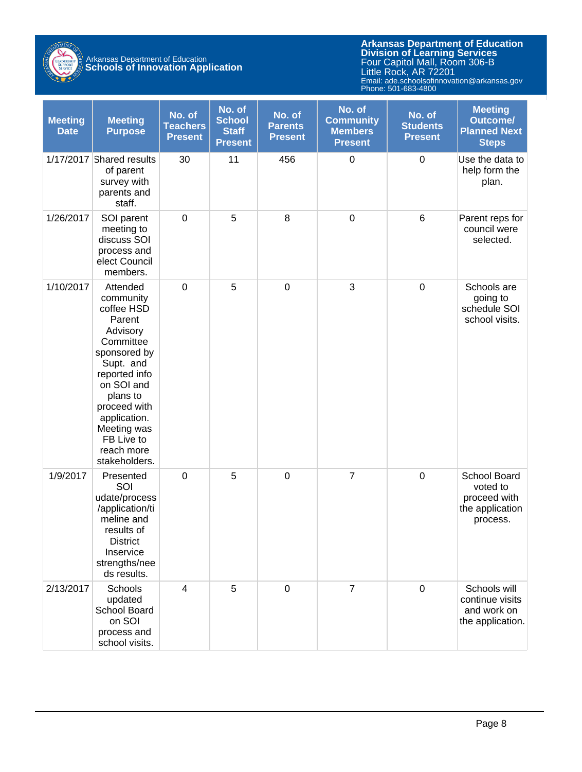

| <b>Meeting</b><br><b>Date</b> | <b>Meeting</b><br><b>Purpose</b>                                                                                                                                                                                                           | No. of<br><b>Teachers</b><br><b>Present</b> | No. of<br><b>School</b><br><b>Staff</b><br><b>Present</b> | No. of<br><b>Parents</b><br><b>Present</b> | No. of<br><b>Community</b><br><b>Members</b><br><b>Present</b> | No. of<br><b>Students</b><br><b>Present</b> | <b>Meeting</b><br><b>Outcome/</b><br><b>Planned Next</b><br><b>Steps</b> |
|-------------------------------|--------------------------------------------------------------------------------------------------------------------------------------------------------------------------------------------------------------------------------------------|---------------------------------------------|-----------------------------------------------------------|--------------------------------------------|----------------------------------------------------------------|---------------------------------------------|--------------------------------------------------------------------------|
|                               | 1/17/2017 Shared results<br>of parent<br>survey with<br>parents and<br>staff.                                                                                                                                                              | 30                                          | 11                                                        | 456                                        | $\mathbf 0$                                                    | $\boldsymbol{0}$                            | Use the data to<br>help form the<br>plan.                                |
| 1/26/2017                     | SOI parent<br>meeting to<br>discuss SOI<br>process and<br>elect Council<br>members.                                                                                                                                                        | $\pmb{0}$                                   | 5                                                         | 8                                          | $\mathbf 0$                                                    | $\,6$                                       | Parent reps for<br>council were<br>selected.                             |
| 1/10/2017                     | Attended<br>community<br>coffee HSD<br>Parent<br>Advisory<br>Committee<br>sponsored by<br>Supt. and<br>reported info<br>on SOI and<br>plans to<br>proceed with<br>application.<br>Meeting was<br>FB Live to<br>reach more<br>stakeholders. | $\mathbf 0$                                 | 5                                                         | $\mathbf 0$                                | 3                                                              | $\mathbf 0$                                 | Schools are<br>going to<br>schedule SOI<br>school visits.                |
| 1/9/2017                      | Presented<br>SOI<br>udate/process<br>/application/ti<br>meline and<br>results of<br><b>District</b><br>Inservice<br>strengths/nee<br>ds results.                                                                                           | $\mathbf 0$                                 | 5                                                         | $\mathbf 0$                                | $\overline{7}$                                                 | $\mathbf 0$                                 | School Board<br>voted to<br>proceed with<br>the application<br>process.  |
| 2/13/2017                     | Schools<br>updated<br>School Board<br>on SOI<br>process and<br>school visits.                                                                                                                                                              | 4                                           | 5                                                         | $\mathbf 0$                                | $\overline{7}$                                                 | $\mathbf 0$                                 | Schools will<br>continue visits<br>and work on<br>the application.       |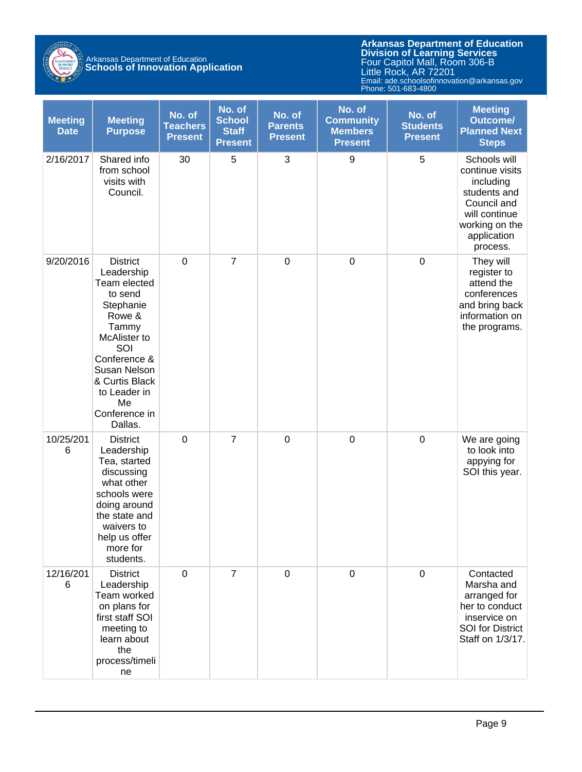

| <b>Meeting</b><br><b>Date</b> | <b>Meeting</b><br><b>Purpose</b>                                                                                                                                                                                    | No. of<br><b>Teachers</b><br><b>Present</b> | No. of<br><b>School</b><br><b>Staff</b><br><b>Present</b> | No. of<br><b>Parents</b><br><b>Present</b> | No. of<br><b>Community</b><br><b>Members</b><br><b>Present</b> | No. of<br><b>Students</b><br><b>Present</b> | <b>Meeting</b><br><b>Outcome/</b><br><b>Planned Next</b><br><b>Steps</b>                                                                  |
|-------------------------------|---------------------------------------------------------------------------------------------------------------------------------------------------------------------------------------------------------------------|---------------------------------------------|-----------------------------------------------------------|--------------------------------------------|----------------------------------------------------------------|---------------------------------------------|-------------------------------------------------------------------------------------------------------------------------------------------|
| 2/16/2017                     | Shared info<br>from school<br>visits with<br>Council.                                                                                                                                                               | 30                                          | 5                                                         | 3                                          | 9                                                              | 5                                           | Schools will<br>continue visits<br>including<br>students and<br>Council and<br>will continue<br>working on the<br>application<br>process. |
| 9/20/2016                     | <b>District</b><br>Leadership<br>Team elected<br>to send<br>Stephanie<br>Rowe &<br>Tammy<br>McAlister to<br>SOI<br>Conference &<br>Susan Nelson<br>& Curtis Black<br>to Leader in<br>Me<br>Conference in<br>Dallas. | $\boldsymbol{0}$                            | $\overline{7}$                                            | $\boldsymbol{0}$                           | $\boldsymbol{0}$                                               | $\pmb{0}$                                   | They will<br>register to<br>attend the<br>conferences<br>and bring back<br>information on<br>the programs.                                |
| 10/25/201<br>6                | <b>District</b><br>Leadership<br>Tea, started<br>discussing<br>what other<br>schools were<br>doing around<br>the state and<br>waivers to<br>help us offer<br>more for<br>students.                                  | $\mathbf 0$                                 | $\overline{7}$                                            | $\boldsymbol{0}$                           | $\boldsymbol{0}$                                               | $\pmb{0}$                                   | We are going<br>to look into<br>appying for<br>SOI this year.                                                                             |
| 12/16/201<br>6                | <b>District</b><br>Leadership<br>Team worked<br>on plans for<br>first staff SOI<br>meeting to<br>learn about<br>the<br>process/timeli<br>ne                                                                         | $\pmb{0}$                                   | $\overline{7}$                                            | $\mathbf 0$                                | $\mathbf 0$                                                    | $\pmb{0}$                                   | Contacted<br>Marsha and<br>arranged for<br>her to conduct<br>inservice on<br><b>SOI</b> for District<br>Staff on 1/3/17.                  |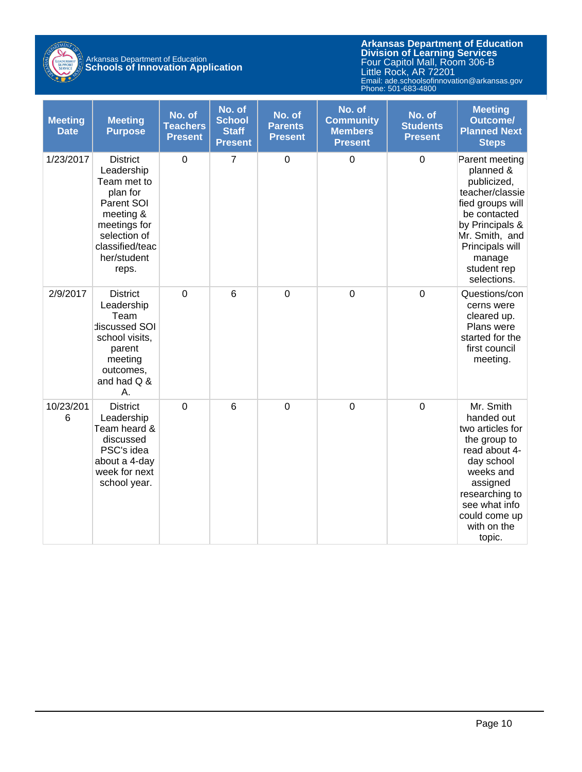

| <b>Meeting</b><br><b>Date</b> | <b>Meeting</b><br><b>Purpose</b>                                                                                                                               | No. of<br><b>Teachers</b><br><b>Present</b> | No. of<br><b>School</b><br><b>Staff</b><br><b>Present</b> | No. of<br><b>Parents</b><br><b>Present</b> | No. of<br><b>Community</b><br><b>Members</b><br><b>Present</b> | No. of<br><b>Students</b><br><b>Present</b> | <b>Meeting</b><br><b>Outcome/</b><br><b>Planned Next</b><br><b>Steps</b>                                                                                                                          |
|-------------------------------|----------------------------------------------------------------------------------------------------------------------------------------------------------------|---------------------------------------------|-----------------------------------------------------------|--------------------------------------------|----------------------------------------------------------------|---------------------------------------------|---------------------------------------------------------------------------------------------------------------------------------------------------------------------------------------------------|
| 1/23/2017                     | <b>District</b><br>Leadership<br>Team met to<br>plan for<br>Parent SOI<br>meeting &<br>meetings for<br>selection of<br>classified/teac<br>her/student<br>reps. | $\mathbf 0$                                 | $\overline{7}$                                            | $\mathbf 0$                                | $\mathbf 0$                                                    | $\mathbf 0$                                 | Parent meeting<br>planned &<br>publicized,<br>teacher/classie<br>fied groups will<br>be contacted<br>by Principals &<br>Mr. Smith, and<br>Principals will<br>manage<br>student rep<br>selections. |
| 2/9/2017                      | <b>District</b><br>Leadership<br>Team<br>discussed SOI<br>school visits,<br>parent<br>meeting<br>outcomes,<br>and had Q &<br>Α.                                | $\overline{0}$                              | $6\phantom{1}6$                                           | $\overline{0}$                             | $\overline{0}$                                                 | $\overline{0}$                              | Questions/con<br>cerns were<br>cleared up.<br>Plans were<br>started for the<br>first council<br>meeting.                                                                                          |
| 10/23/201<br>6                | <b>District</b><br>Leadership<br>Team heard &<br>discussed<br>PSC's idea<br>about a 4-day<br>week for next<br>school year.                                     | $\mathbf 0$                                 | 6                                                         | $\mathbf 0$                                | $\mathbf 0$                                                    | $\mathbf 0$                                 | Mr. Smith<br>handed out<br>two articles for<br>the group to<br>read about 4-<br>day school<br>weeks and<br>assigned<br>researching to<br>see what info<br>could come up<br>with on the<br>topic.  |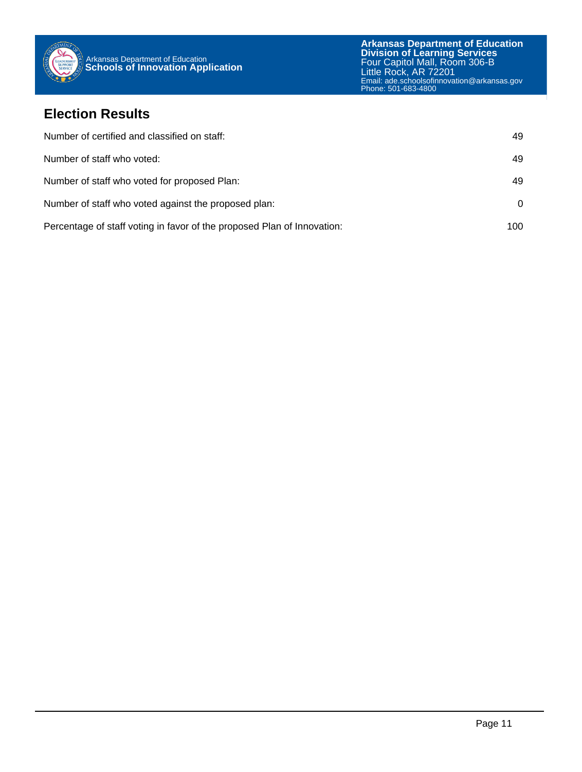

#### **Election Results**

| Number of certified and classified on staff:                            | 49  |
|-------------------------------------------------------------------------|-----|
| Number of staff who voted:                                              | 49  |
| Number of staff who voted for proposed Plan:                            | 49  |
| Number of staff who voted against the proposed plan:                    | 0   |
| Percentage of staff voting in favor of the proposed Plan of Innovation: | 100 |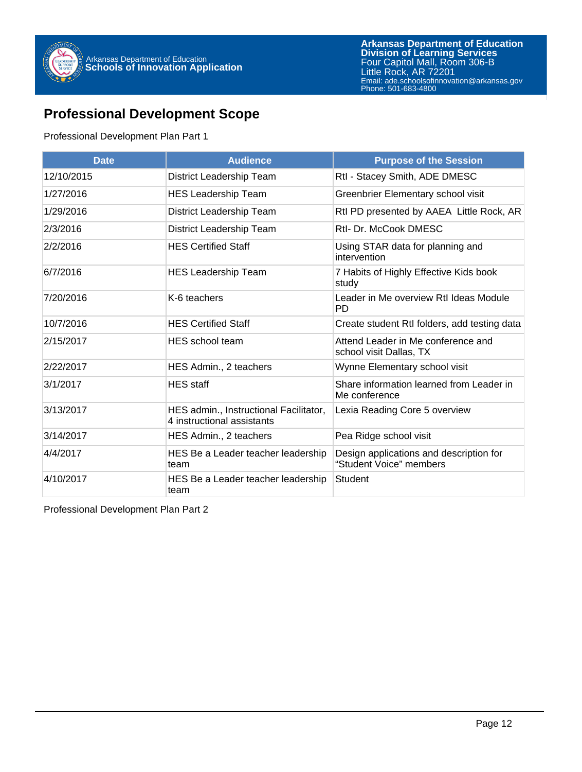

### **Professional Development Scope**

#### Professional Development Plan Part 1

| <b>Date</b> | <b>Audience</b>                                                      | <b>Purpose of the Session</b>                                      |  |  |
|-------------|----------------------------------------------------------------------|--------------------------------------------------------------------|--|--|
| 12/10/2015  | District Leadership Team                                             | Rtl - Stacey Smith, ADE DMESC                                      |  |  |
| 1/27/2016   | <b>HES Leadership Team</b>                                           | Greenbrier Elementary school visit                                 |  |  |
| 1/29/2016   | District Leadership Team                                             | RtI PD presented by AAEA Little Rock, AR                           |  |  |
| 2/3/2016    | District Leadership Team                                             | Rtl- Dr. McCook DMESC                                              |  |  |
| 2/2/2016    | <b>HES Certified Staff</b>                                           | Using STAR data for planning and<br>intervention                   |  |  |
| 6/7/2016    | <b>HES Leadership Team</b>                                           | 7 Habits of Highly Effective Kids book<br>study                    |  |  |
| 7/20/2016   | K-6 teachers                                                         | Leader in Me overview RtI Ideas Module<br>PD.                      |  |  |
| 10/7/2016   | <b>HES Certified Staff</b>                                           | Create student RtI folders, add testing data                       |  |  |
| 2/15/2017   | HES school team                                                      | Attend Leader in Me conference and<br>school visit Dallas, TX      |  |  |
| 2/22/2017   | HES Admin., 2 teachers                                               | Wynne Elementary school visit                                      |  |  |
| 3/1/2017    | <b>HES</b> staff                                                     | Share information learned from Leader in<br>Me conference          |  |  |
| 3/13/2017   | HES admin., Instructional Facilitator,<br>4 instructional assistants | Lexia Reading Core 5 overview                                      |  |  |
| 3/14/2017   | HES Admin., 2 teachers                                               | Pea Ridge school visit                                             |  |  |
| 4/4/2017    | HES Be a Leader teacher leadership<br>team                           | Design applications and description for<br>"Student Voice" members |  |  |
| 4/10/2017   | HES Be a Leader teacher leadership<br>team                           | Student                                                            |  |  |

Professional Development Plan Part 2